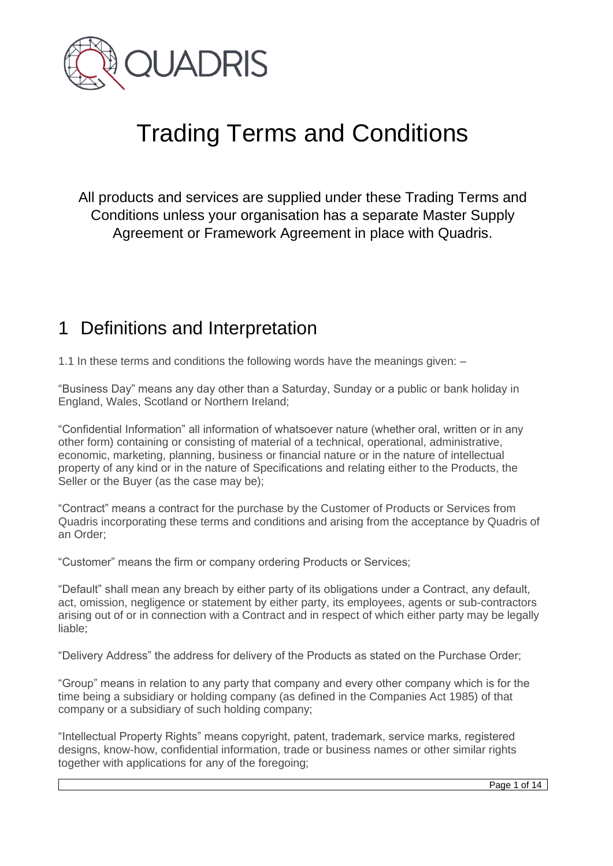

# Trading Terms and Conditions

All products and services are supplied under these Trading Terms and Conditions unless your organisation has a separate Master Supply Agreement or Framework Agreement in place with Quadris.

#### 1 Definitions and Interpretation

1.1 In these terms and conditions the following words have the meanings given: –

"Business Day" means any day other than a Saturday, Sunday or a public or bank holiday in England, Wales, Scotland or Northern Ireland;

"Confidential Information" all information of whatsoever nature (whether oral, written or in any other form) containing or consisting of material of a technical, operational, administrative, economic, marketing, planning, business or financial nature or in the nature of intellectual property of any kind or in the nature of Specifications and relating either to the Products, the Seller or the Buyer (as the case may be);

"Contract" means a contract for the purchase by the Customer of Products or Services from Quadris incorporating these terms and conditions and arising from the acceptance by Quadris of an Order;

"Customer" means the firm or company ordering Products or Services;

"Default" shall mean any breach by either party of its obligations under a Contract, any default, act, omission, negligence or statement by either party, its employees, agents or sub-contractors arising out of or in connection with a Contract and in respect of which either party may be legally liable:

"Delivery Address" the address for delivery of the Products as stated on the Purchase Order;

"Group" means in relation to any party that company and every other company which is for the time being a subsidiary or holding company (as defined in the Companies Act 1985) of that company or a subsidiary of such holding company;

"Intellectual Property Rights" means copyright, patent, trademark, service marks, registered designs, know-how, confidential information, trade or business names or other similar rights together with applications for any of the foregoing;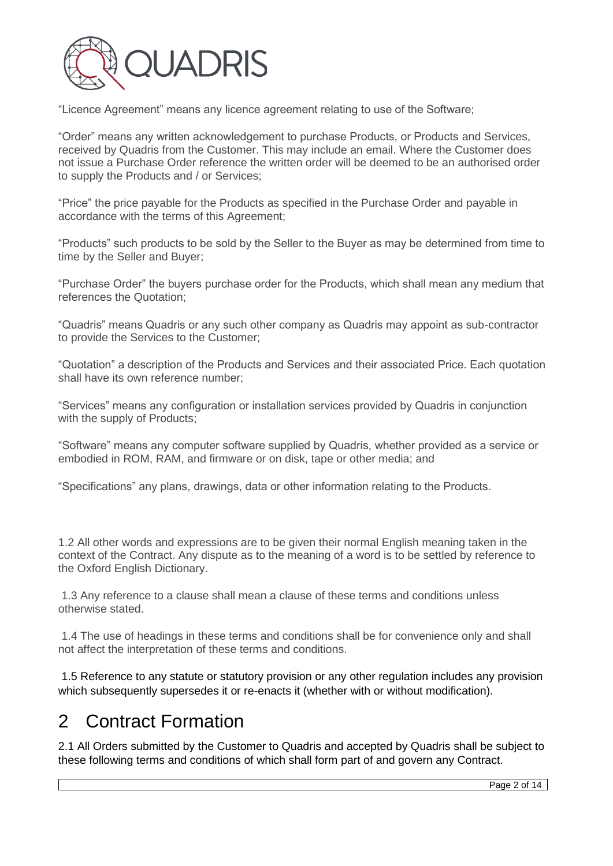

"Licence Agreement" means any licence agreement relating to use of the Software;

"Order" means any written acknowledgement to purchase Products, or Products and Services, received by Quadris from the Customer. This may include an email. Where the Customer does not issue a Purchase Order reference the written order will be deemed to be an authorised order to supply the Products and / or Services;

"Price" the price payable for the Products as specified in the Purchase Order and payable in accordance with the terms of this Agreement;

"Products" such products to be sold by the Seller to the Buyer as may be determined from time to time by the Seller and Buyer;

"Purchase Order" the buyers purchase order for the Products, which shall mean any medium that references the Quotation;

"Quadris" means Quadris or any such other company as Quadris may appoint as sub-contractor to provide the Services to the Customer;

"Quotation" a description of the Products and Services and their associated Price. Each quotation shall have its own reference number;

"Services" means any configuration or installation services provided by Quadris in conjunction with the supply of Products;

"Software" means any computer software supplied by Quadris, whether provided as a service or embodied in ROM, RAM, and firmware or on disk, tape or other media; and

"Specifications" any plans, drawings, data or other information relating to the Products.

1.2 All other words and expressions are to be given their normal English meaning taken in the context of the Contract. Any dispute as to the meaning of a word is to be settled by reference to the Oxford English Dictionary.

1.3 Any reference to a clause shall mean a clause of these terms and conditions unless otherwise stated.

1.4 The use of headings in these terms and conditions shall be for convenience only and shall not affect the interpretation of these terms and conditions.

1.5 Reference to any statute or statutory provision or any other regulation includes any provision which subsequently supersedes it or re-enacts it (whether with or without modification).

#### 2 Contract Formation

2.1 All Orders submitted by the Customer to Quadris and accepted by Quadris shall be subject to these following terms and conditions of which shall form part of and govern any Contract.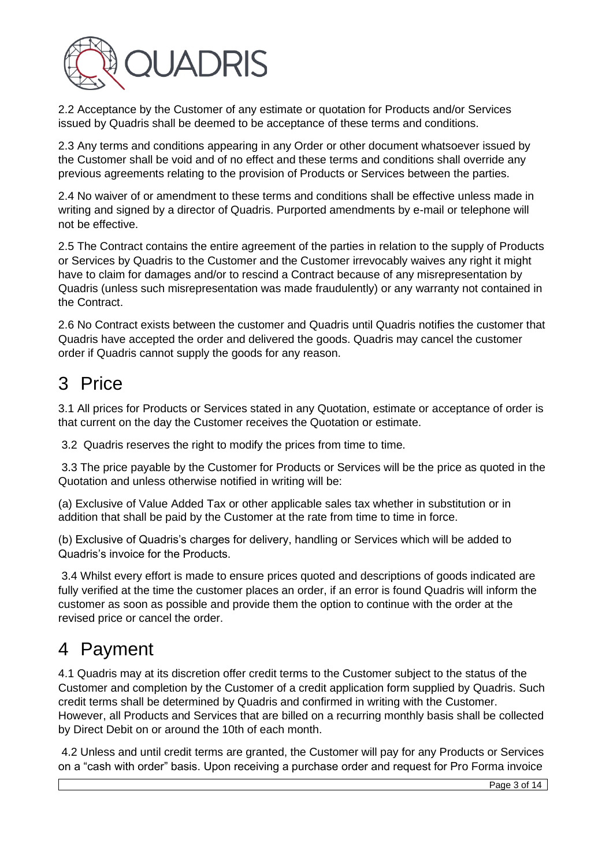

2.2 Acceptance by the Customer of any estimate or quotation for Products and/or Services issued by Quadris shall be deemed to be acceptance of these terms and conditions.

2.3 Any terms and conditions appearing in any Order or other document whatsoever issued by the Customer shall be void and of no effect and these terms and conditions shall override any previous agreements relating to the provision of Products or Services between the parties.

2.4 No waiver of or amendment to these terms and conditions shall be effective unless made in writing and signed by a director of Quadris. Purported amendments by e-mail or telephone will not be effective.

2.5 The Contract contains the entire agreement of the parties in relation to the supply of Products or Services by Quadris to the Customer and the Customer irrevocably waives any right it might have to claim for damages and/or to rescind a Contract because of any misrepresentation by Quadris (unless such misrepresentation was made fraudulently) or any warranty not contained in the Contract.

2.6 No Contract exists between the customer and Quadris until Quadris notifies the customer that Quadris have accepted the order and delivered the goods. Quadris may cancel the customer order if Quadris cannot supply the goods for any reason.

# 3 Price

3.1 All prices for Products or Services stated in any Quotation, estimate or acceptance of order is that current on the day the Customer receives the Quotation or estimate.

3.2 Quadris reserves the right to modify the prices from time to time.

3.3 The price payable by the Customer for Products or Services will be the price as quoted in the Quotation and unless otherwise notified in writing will be:

(a) Exclusive of Value Added Tax or other applicable sales tax whether in substitution or in addition that shall be paid by the Customer at the rate from time to time in force.

(b) Exclusive of Quadris's charges for delivery, handling or Services which will be added to Quadris's invoice for the Products.

3.4 Whilst every effort is made to ensure prices quoted and descriptions of goods indicated are fully verified at the time the customer places an order, if an error is found Quadris will inform the customer as soon as possible and provide them the option to continue with the order at the revised price or cancel the order.

# 4 Payment

4.1 Quadris may at its discretion offer credit terms to the Customer subject to the status of the Customer and completion by the Customer of a credit application form supplied by Quadris. Such credit terms shall be determined by Quadris and confirmed in writing with the Customer. However, all Products and Services that are billed on a recurring monthly basis shall be collected by Direct Debit on or around the 10th of each month.

4.2 Unless and until credit terms are granted, the Customer will pay for any Products or Services on a "cash with order" basis. Upon receiving a purchase order and request for Pro Forma invoice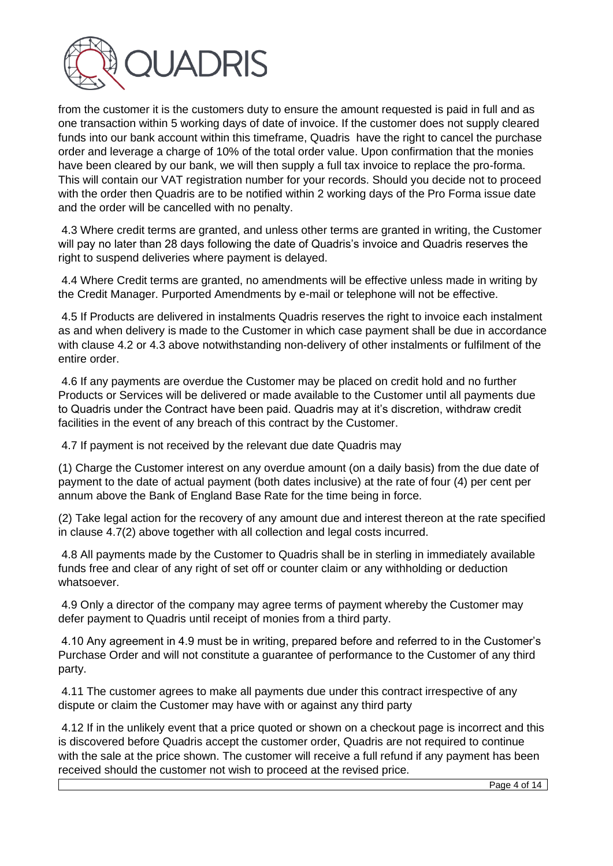

from the customer it is the customers duty to ensure the amount requested is paid in full and as one transaction within 5 working days of date of invoice. If the customer does not supply cleared funds into our bank account within this timeframe, Quadris have the right to cancel the purchase order and leverage a charge of 10% of the total order value. Upon confirmation that the monies have been cleared by our bank, we will then supply a full tax invoice to replace the pro-forma. This will contain our VAT registration number for your records. Should you decide not to proceed with the order then Quadris are to be notified within 2 working days of the Pro Forma issue date and the order will be cancelled with no penalty.

4.3 Where credit terms are granted, and unless other terms are granted in writing, the Customer will pay no later than 28 days following the date of Quadris's invoice and Quadris reserves the right to suspend deliveries where payment is delayed.

4.4 Where Credit terms are granted, no amendments will be effective unless made in writing by the Credit Manager. Purported Amendments by e-mail or telephone will not be effective.

4.5 If Products are delivered in instalments Quadris reserves the right to invoice each instalment as and when delivery is made to the Customer in which case payment shall be due in accordance with clause 4.2 or 4.3 above notwithstanding non-delivery of other instalments or fulfilment of the entire order.

4.6 If any payments are overdue the Customer may be placed on credit hold and no further Products or Services will be delivered or made available to the Customer until all payments due to Quadris under the Contract have been paid. Quadris may at it's discretion, withdraw credit facilities in the event of any breach of this contract by the Customer.

4.7 If payment is not received by the relevant due date Quadris may

(1) Charge the Customer interest on any overdue amount (on a daily basis) from the due date of payment to the date of actual payment (both dates inclusive) at the rate of four (4) per cent per annum above the Bank of England Base Rate for the time being in force.

(2) Take legal action for the recovery of any amount due and interest thereon at the rate specified in clause 4.7(2) above together with all collection and legal costs incurred.

4.8 All payments made by the Customer to Quadris shall be in sterling in immediately available funds free and clear of any right of set off or counter claim or any withholding or deduction whatsoever.

4.9 Only a director of the company may agree terms of payment whereby the Customer may defer payment to Quadris until receipt of monies from a third party.

4.10 Any agreement in 4.9 must be in writing, prepared before and referred to in the Customer's Purchase Order and will not constitute a guarantee of performance to the Customer of any third party.

4.11 The customer agrees to make all payments due under this contract irrespective of any dispute or claim the Customer may have with or against any third party

4.12 If in the unlikely event that a price quoted or shown on a checkout page is incorrect and this is discovered before Quadris accept the customer order, Quadris are not required to continue with the sale at the price shown. The customer will receive a full refund if any payment has been received should the customer not wish to proceed at the revised price.

Page 4 of 14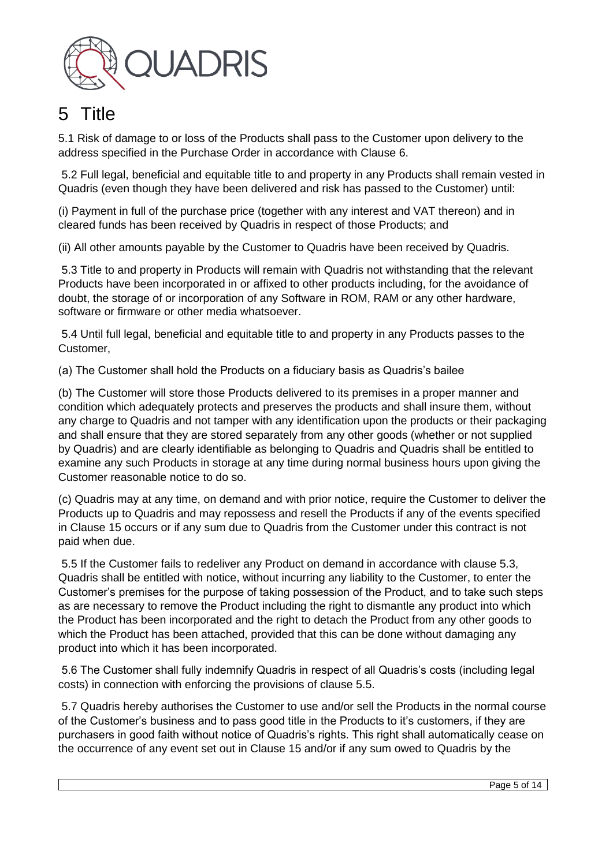

# 5 Title

5.1 Risk of damage to or loss of the Products shall pass to the Customer upon delivery to the address specified in the Purchase Order in accordance with Clause 6.

5.2 Full legal, beneficial and equitable title to and property in any Products shall remain vested in Quadris (even though they have been delivered and risk has passed to the Customer) until:

(i) Payment in full of the purchase price (together with any interest and VAT thereon) and in cleared funds has been received by Quadris in respect of those Products; and

(ii) All other amounts payable by the Customer to Quadris have been received by Quadris.

5.3 Title to and property in Products will remain with Quadris not withstanding that the relevant Products have been incorporated in or affixed to other products including, for the avoidance of doubt, the storage of or incorporation of any Software in ROM, RAM or any other hardware, software or firmware or other media whatsoever.

5.4 Until full legal, beneficial and equitable title to and property in any Products passes to the Customer,

(a) The Customer shall hold the Products on a fiduciary basis as Quadris's bailee

(b) The Customer will store those Products delivered to its premises in a proper manner and condition which adequately protects and preserves the products and shall insure them, without any charge to Quadris and not tamper with any identification upon the products or their packaging and shall ensure that they are stored separately from any other goods (whether or not supplied by Quadris) and are clearly identifiable as belonging to Quadris and Quadris shall be entitled to examine any such Products in storage at any time during normal business hours upon giving the Customer reasonable notice to do so.

(c) Quadris may at any time, on demand and with prior notice, require the Customer to deliver the Products up to Quadris and may repossess and resell the Products if any of the events specified in Clause 15 occurs or if any sum due to Quadris from the Customer under this contract is not paid when due.

5.5 If the Customer fails to redeliver any Product on demand in accordance with clause 5.3, Quadris shall be entitled with notice, without incurring any liability to the Customer, to enter the Customer's premises for the purpose of taking possession of the Product, and to take such steps as are necessary to remove the Product including the right to dismantle any product into which the Product has been incorporated and the right to detach the Product from any other goods to which the Product has been attached, provided that this can be done without damaging any product into which it has been incorporated.

5.6 The Customer shall fully indemnify Quadris in respect of all Quadris's costs (including legal costs) in connection with enforcing the provisions of clause 5.5.

5.7 Quadris hereby authorises the Customer to use and/or sell the Products in the normal course of the Customer's business and to pass good title in the Products to it's customers, if they are purchasers in good faith without notice of Quadris's rights. This right shall automatically cease on the occurrence of any event set out in Clause 15 and/or if any sum owed to Quadris by the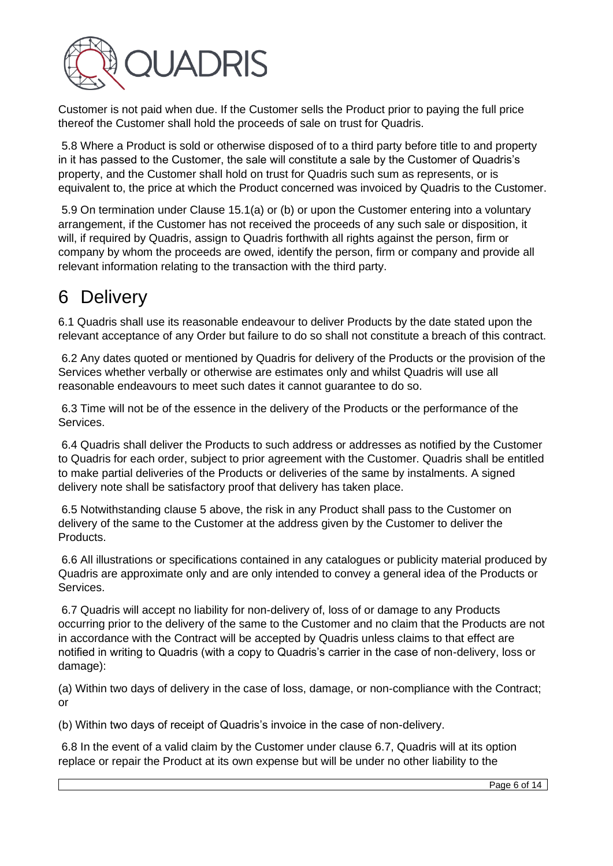

Customer is not paid when due. If the Customer sells the Product prior to paying the full price thereof the Customer shall hold the proceeds of sale on trust for Quadris.

5.8 Where a Product is sold or otherwise disposed of to a third party before title to and property in it has passed to the Customer, the sale will constitute a sale by the Customer of Quadris's property, and the Customer shall hold on trust for Quadris such sum as represents, or is equivalent to, the price at which the Product concerned was invoiced by Quadris to the Customer.

5.9 On termination under Clause 15.1(a) or (b) or upon the Customer entering into a voluntary arrangement, if the Customer has not received the proceeds of any such sale or disposition, it will, if required by Quadris, assign to Quadris forthwith all rights against the person, firm or company by whom the proceeds are owed, identify the person, firm or company and provide all relevant information relating to the transaction with the third party.

#### 6 Delivery

6.1 Quadris shall use its reasonable endeavour to deliver Products by the date stated upon the relevant acceptance of any Order but failure to do so shall not constitute a breach of this contract.

6.2 Any dates quoted or mentioned by Quadris for delivery of the Products or the provision of the Services whether verbally or otherwise are estimates only and whilst Quadris will use all reasonable endeavours to meet such dates it cannot guarantee to do so.

6.3 Time will not be of the essence in the delivery of the Products or the performance of the Services.

6.4 Quadris shall deliver the Products to such address or addresses as notified by the Customer to Quadris for each order, subject to prior agreement with the Customer. Quadris shall be entitled to make partial deliveries of the Products or deliveries of the same by instalments. A signed delivery note shall be satisfactory proof that delivery has taken place.

6.5 Notwithstanding clause 5 above, the risk in any Product shall pass to the Customer on delivery of the same to the Customer at the address given by the Customer to deliver the Products.

6.6 All illustrations or specifications contained in any catalogues or publicity material produced by Quadris are approximate only and are only intended to convey a general idea of the Products or Services.

6.7 Quadris will accept no liability for non-delivery of, loss of or damage to any Products occurring prior to the delivery of the same to the Customer and no claim that the Products are not in accordance with the Contract will be accepted by Quadris unless claims to that effect are notified in writing to Quadris (with a copy to Quadris's carrier in the case of non-delivery, loss or damage):

(a) Within two days of delivery in the case of loss, damage, or non-compliance with the Contract; or

(b) Within two days of receipt of Quadris's invoice in the case of non-delivery.

6.8 In the event of a valid claim by the Customer under clause 6.7, Quadris will at its option replace or repair the Product at its own expense but will be under no other liability to the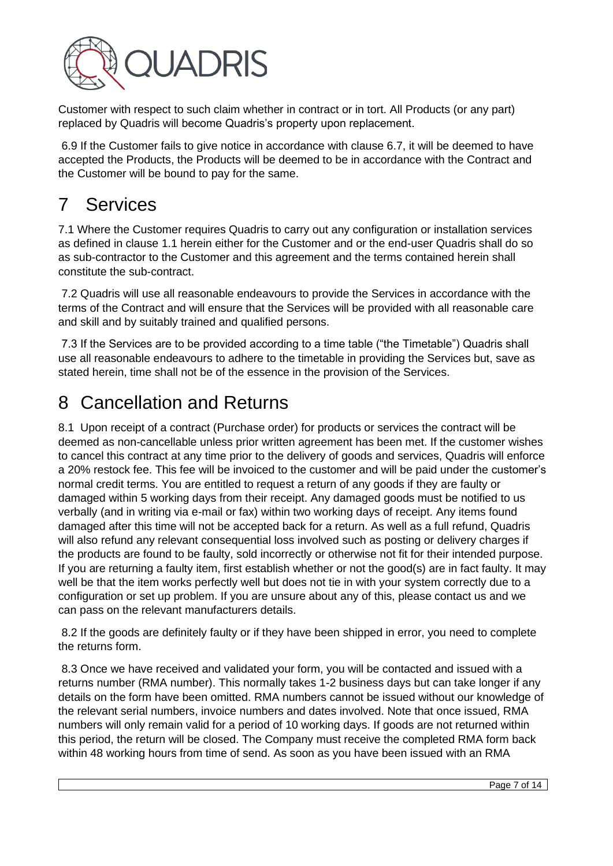

Customer with respect to such claim whether in contract or in tort. All Products (or any part) replaced by Quadris will become Quadris's property upon replacement.

6.9 If the Customer fails to give notice in accordance with clause 6.7, it will be deemed to have accepted the Products, the Products will be deemed to be in accordance with the Contract and the Customer will be bound to pay for the same.

# 7 Services

7.1 Where the Customer requires Quadris to carry out any configuration or installation services as defined in clause 1.1 herein either for the Customer and or the end-user Quadris shall do so as sub-contractor to the Customer and this agreement and the terms contained herein shall constitute the sub-contract.

7.2 Quadris will use all reasonable endeavours to provide the Services in accordance with the terms of the Contract and will ensure that the Services will be provided with all reasonable care and skill and by suitably trained and qualified persons.

7.3 If the Services are to be provided according to a time table ("the Timetable") Quadris shall use all reasonable endeavours to adhere to the timetable in providing the Services but, save as stated herein, time shall not be of the essence in the provision of the Services.

## 8 Cancellation and Returns

8.1 Upon receipt of a contract (Purchase order) for products or services the contract will be deemed as non-cancellable unless prior written agreement has been met. If the customer wishes to cancel this contract at any time prior to the delivery of goods and services, Quadris will enforce a 20% restock fee. This fee will be invoiced to the customer and will be paid under the customer's normal credit terms. You are entitled to request a return of any goods if they are faulty or damaged within 5 working days from their receipt. Any damaged goods must be notified to us verbally (and in writing via e-mail or fax) within two working days of receipt. Any items found damaged after this time will not be accepted back for a return. As well as a full refund, Quadris will also refund any relevant consequential loss involved such as posting or delivery charges if the products are found to be faulty, sold incorrectly or otherwise not fit for their intended purpose. If you are returning a faulty item, first establish whether or not the good(s) are in fact faulty. It may well be that the item works perfectly well but does not tie in with your system correctly due to a configuration or set up problem. If you are unsure about any of this, please contact us and we can pass on the relevant manufacturers details.

8.2 If the goods are definitely faulty or if they have been shipped in error, you need to complete the returns form.

8.3 Once we have received and validated your form, you will be contacted and issued with a returns number (RMA number). This normally takes 1-2 business days but can take longer if any details on the form have been omitted. RMA numbers cannot be issued without our knowledge of the relevant serial numbers, invoice numbers and dates involved. Note that once issued, RMA numbers will only remain valid for a period of 10 working days. If goods are not returned within this period, the return will be closed. The Company must receive the completed RMA form back within 48 working hours from time of send. As soon as you have been issued with an RMA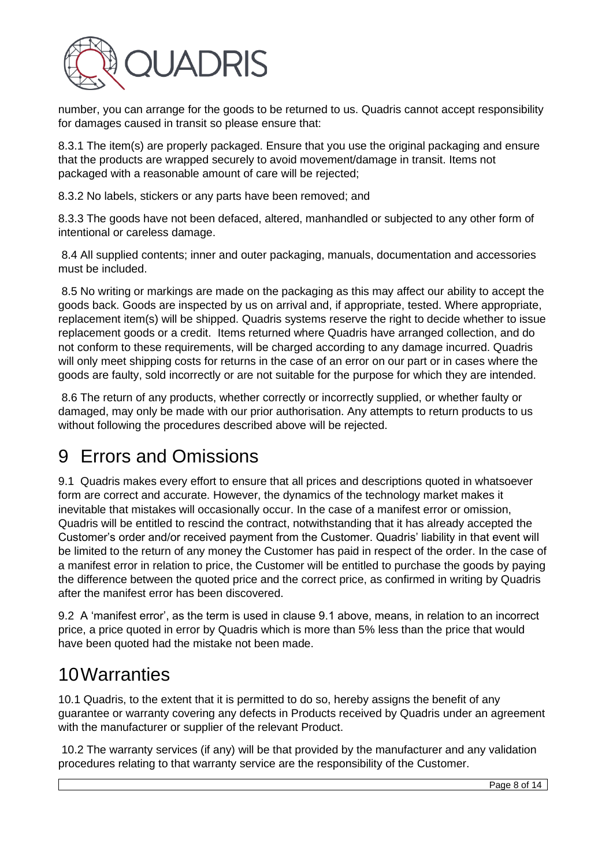

number, you can arrange for the goods to be returned to us. Quadris cannot accept responsibility for damages caused in transit so please ensure that:

8.3.1 The item(s) are properly packaged. Ensure that you use the original packaging and ensure that the products are wrapped securely to avoid movement/damage in transit. Items not packaged with a reasonable amount of care will be rejected;

8.3.2 No labels, stickers or any parts have been removed; and

8.3.3 The goods have not been defaced, altered, manhandled or subjected to any other form of intentional or careless damage.

8.4 All supplied contents; inner and outer packaging, manuals, documentation and accessories must be included.

8.5 No writing or markings are made on the packaging as this may affect our ability to accept the goods back. Goods are inspected by us on arrival and, if appropriate, tested. Where appropriate, replacement item(s) will be shipped. Quadris systems reserve the right to decide whether to issue replacement goods or a credit. Items returned where Quadris have arranged collection, and do not conform to these requirements, will be charged according to any damage incurred. Quadris will only meet shipping costs for returns in the case of an error on our part or in cases where the goods are faulty, sold incorrectly or are not suitable for the purpose for which they are intended.

8.6 The return of any products, whether correctly or incorrectly supplied, or whether faulty or damaged, may only be made with our prior authorisation. Any attempts to return products to us without following the procedures described above will be rejected.

## 9 Errors and Omissions

9.1 Quadris makes every effort to ensure that all prices and descriptions quoted in whatsoever form are correct and accurate. However, the dynamics of the technology market makes it inevitable that mistakes will occasionally occur. In the case of a manifest error or omission, Quadris will be entitled to rescind the contract, notwithstanding that it has already accepted the Customer's order and/or received payment from the Customer. Quadris' liability in that event will be limited to the return of any money the Customer has paid in respect of the order. In the case of a manifest error in relation to price, the Customer will be entitled to purchase the goods by paying the difference between the quoted price and the correct price, as confirmed in writing by Quadris after the manifest error has been discovered.

9.2 A 'manifest error', as the term is used in clause 9.1 above, means, in relation to an incorrect price, a price quoted in error by Quadris which is more than 5% less than the price that would have been quoted had the mistake not been made.

#### 10Warranties

10.1 Quadris, to the extent that it is permitted to do so, hereby assigns the benefit of any guarantee or warranty covering any defects in Products received by Quadris under an agreement with the manufacturer or supplier of the relevant Product.

10.2 The warranty services (if any) will be that provided by the manufacturer and any validation procedures relating to that warranty service are the responsibility of the Customer.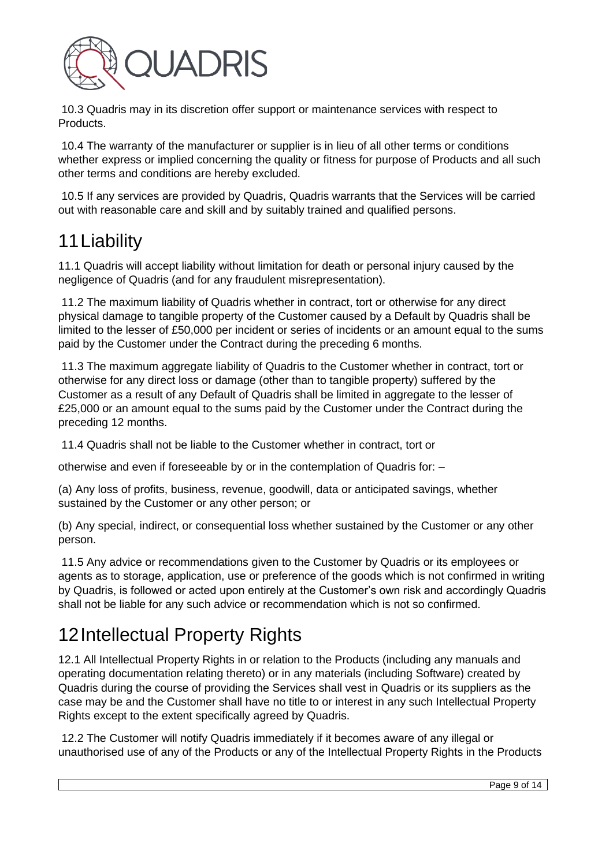

10.3 Quadris may in its discretion offer support or maintenance services with respect to Products.

10.4 The warranty of the manufacturer or supplier is in lieu of all other terms or conditions whether express or implied concerning the quality or fitness for purpose of Products and all such other terms and conditions are hereby excluded.

10.5 If any services are provided by Quadris, Quadris warrants that the Services will be carried out with reasonable care and skill and by suitably trained and qualified persons.

## 11Liability

11.1 Quadris will accept liability without limitation for death or personal injury caused by the negligence of Quadris (and for any fraudulent misrepresentation).

11.2 The maximum liability of Quadris whether in contract, tort or otherwise for any direct physical damage to tangible property of the Customer caused by a Default by Quadris shall be limited to the lesser of £50,000 per incident or series of incidents or an amount equal to the sums paid by the Customer under the Contract during the preceding 6 months.

11.3 The maximum aggregate liability of Quadris to the Customer whether in contract, tort or otherwise for any direct loss or damage (other than to tangible property) suffered by the Customer as a result of any Default of Quadris shall be limited in aggregate to the lesser of £25,000 or an amount equal to the sums paid by the Customer under the Contract during the preceding 12 months.

11.4 Quadris shall not be liable to the Customer whether in contract, tort or

otherwise and even if foreseeable by or in the contemplation of Quadris for: –

(a) Any loss of profits, business, revenue, goodwill, data or anticipated savings, whether sustained by the Customer or any other person; or

(b) Any special, indirect, or consequential loss whether sustained by the Customer or any other person.

11.5 Any advice or recommendations given to the Customer by Quadris or its employees or agents as to storage, application, use or preference of the goods which is not confirmed in writing by Quadris, is followed or acted upon entirely at the Customer's own risk and accordingly Quadris shall not be liable for any such advice or recommendation which is not so confirmed.

## 12Intellectual Property Rights

12.1 All Intellectual Property Rights in or relation to the Products (including any manuals and operating documentation relating thereto) or in any materials (including Software) created by Quadris during the course of providing the Services shall vest in Quadris or its suppliers as the case may be and the Customer shall have no title to or interest in any such Intellectual Property Rights except to the extent specifically agreed by Quadris.

12.2 The Customer will notify Quadris immediately if it becomes aware of any illegal or unauthorised use of any of the Products or any of the Intellectual Property Rights in the Products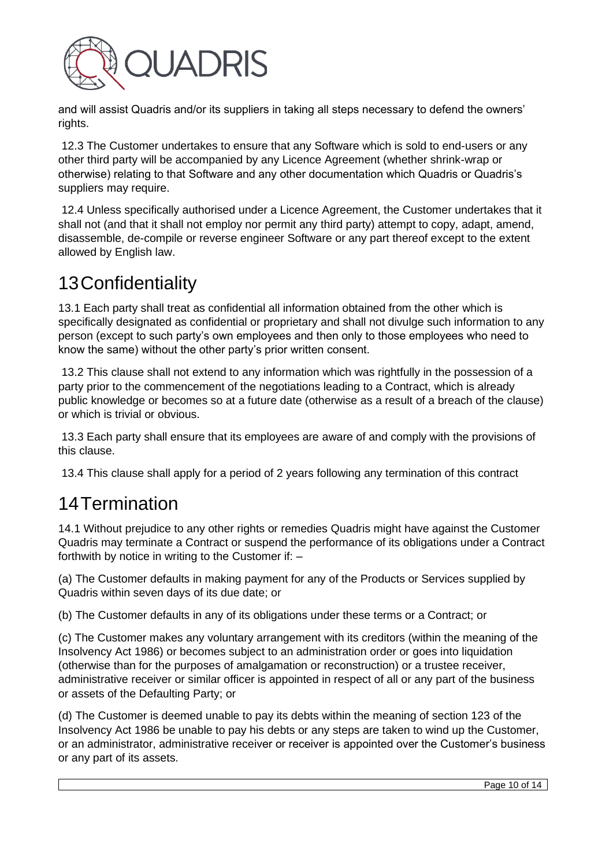

and will assist Quadris and/or its suppliers in taking all steps necessary to defend the owners' rights.

12.3 The Customer undertakes to ensure that any Software which is sold to end-users or any other third party will be accompanied by any Licence Agreement (whether shrink-wrap or otherwise) relating to that Software and any other documentation which Quadris or Quadris's suppliers may require.

12.4 Unless specifically authorised under a Licence Agreement, the Customer undertakes that it shall not (and that it shall not employ nor permit any third party) attempt to copy, adapt, amend, disassemble, de-compile or reverse engineer Software or any part thereof except to the extent allowed by English law.

#### 13Confidentiality

13.1 Each party shall treat as confidential all information obtained from the other which is specifically designated as confidential or proprietary and shall not divulge such information to any person (except to such party's own employees and then only to those employees who need to know the same) without the other party's prior written consent.

13.2 This clause shall not extend to any information which was rightfully in the possession of a party prior to the commencement of the negotiations leading to a Contract, which is already public knowledge or becomes so at a future date (otherwise as a result of a breach of the clause) or which is trivial or obvious.

13.3 Each party shall ensure that its employees are aware of and comply with the provisions of this clause.

13.4 This clause shall apply for a period of 2 years following any termination of this contract

## 14Termination

14.1 Without prejudice to any other rights or remedies Quadris might have against the Customer Quadris may terminate a Contract or suspend the performance of its obligations under a Contract forthwith by notice in writing to the Customer if: –

(a) The Customer defaults in making payment for any of the Products or Services supplied by Quadris within seven days of its due date; or

(b) The Customer defaults in any of its obligations under these terms or a Contract; or

(c) The Customer makes any voluntary arrangement with its creditors (within the meaning of the Insolvency Act 1986) or becomes subject to an administration order or goes into liquidation (otherwise than for the purposes of amalgamation or reconstruction) or a trustee receiver, administrative receiver or similar officer is appointed in respect of all or any part of the business or assets of the Defaulting Party; or

(d) The Customer is deemed unable to pay its debts within the meaning of section 123 of the Insolvency Act 1986 be unable to pay his debts or any steps are taken to wind up the Customer, or an administrator, administrative receiver or receiver is appointed over the Customer's business or any part of its assets.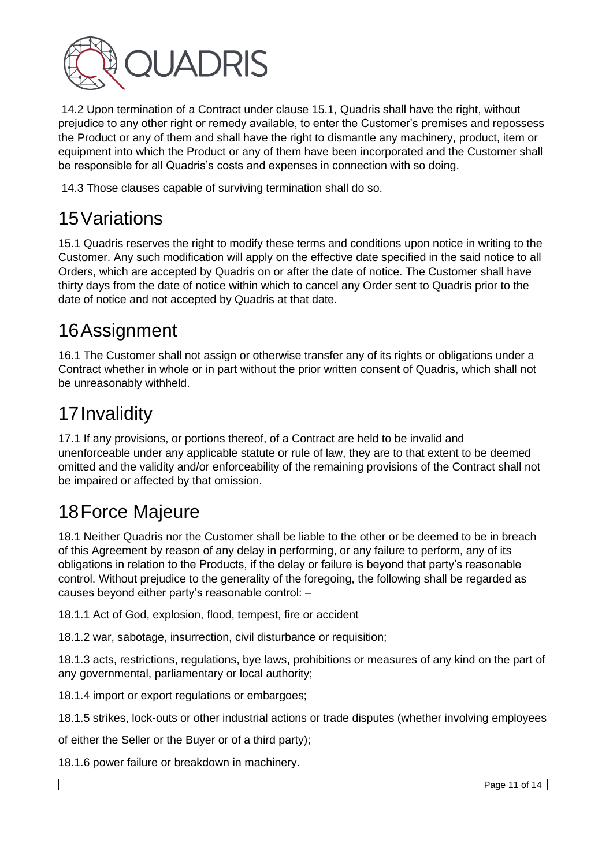

14.2 Upon termination of a Contract under clause 15.1, Quadris shall have the right, without prejudice to any other right or remedy available, to enter the Customer's premises and repossess the Product or any of them and shall have the right to dismantle any machinery, product, item or equipment into which the Product or any of them have been incorporated and the Customer shall be responsible for all Quadris's costs and expenses in connection with so doing.

14.3 Those clauses capable of surviving termination shall do so.

# 15Variations

15.1 Quadris reserves the right to modify these terms and conditions upon notice in writing to the Customer. Any such modification will apply on the effective date specified in the said notice to all Orders, which are accepted by Quadris on or after the date of notice. The Customer shall have thirty days from the date of notice within which to cancel any Order sent to Quadris prior to the date of notice and not accepted by Quadris at that date.

## 16Assignment

16.1 The Customer shall not assign or otherwise transfer any of its rights or obligations under a Contract whether in whole or in part without the prior written consent of Quadris, which shall not be unreasonably withheld.

# 17Invalidity

17.1 If any provisions, or portions thereof, of a Contract are held to be invalid and unenforceable under any applicable statute or rule of law, they are to that extent to be deemed omitted and the validity and/or enforceability of the remaining provisions of the Contract shall not be impaired or affected by that omission.

# 18Force Majeure

18.1 Neither Quadris nor the Customer shall be liable to the other or be deemed to be in breach of this Agreement by reason of any delay in performing, or any failure to perform, any of its obligations in relation to the Products, if the delay or failure is beyond that party's reasonable control. Without prejudice to the generality of the foregoing, the following shall be regarded as causes beyond either party's reasonable control: –

18.1.1 Act of God, explosion, flood, tempest, fire or accident

18.1.2 war, sabotage, insurrection, civil disturbance or requisition;

18.1.3 acts, restrictions, regulations, bye laws, prohibitions or measures of any kind on the part of any governmental, parliamentary or local authority;

18.1.4 import or export regulations or embargoes;

18.1.5 strikes, lock-outs or other industrial actions or trade disputes (whether involving employees

of either the Seller or the Buyer or of a third party);

18.1.6 power failure or breakdown in machinery.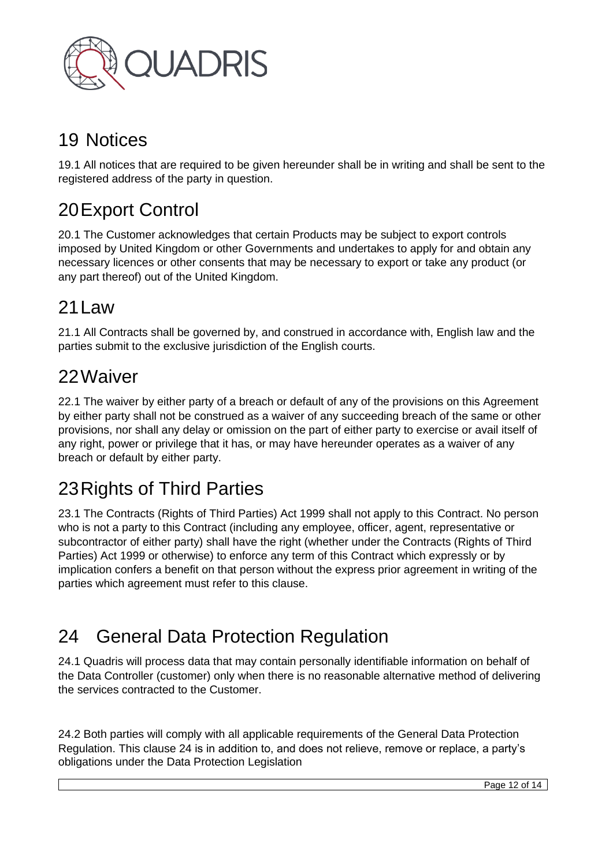

#### 19 Notices

19.1 All notices that are required to be given hereunder shall be in writing and shall be sent to the registered address of the party in question.

# 20Export Control

20.1 The Customer acknowledges that certain Products may be subject to export controls imposed by United Kingdom or other Governments and undertakes to apply for and obtain any necessary licences or other consents that may be necessary to export or take any product (or any part thereof) out of the United Kingdom.

#### 21Law

21.1 All Contracts shall be governed by, and construed in accordance with, English law and the parties submit to the exclusive jurisdiction of the English courts.

#### 22Waiver

22.1 The waiver by either party of a breach or default of any of the provisions on this Agreement by either party shall not be construed as a waiver of any succeeding breach of the same or other provisions, nor shall any delay or omission on the part of either party to exercise or avail itself of any right, power or privilege that it has, or may have hereunder operates as a waiver of any breach or default by either party.

# 23Rights of Third Parties

23.1 The Contracts (Rights of Third Parties) Act 1999 shall not apply to this Contract. No person who is not a party to this Contract (including any employee, officer, agent, representative or subcontractor of either party) shall have the right (whether under the Contracts (Rights of Third Parties) Act 1999 or otherwise) to enforce any term of this Contract which expressly or by implication confers a benefit on that person without the express prior agreement in writing of the parties which agreement must refer to this clause.

# 24 General Data Protection Regulation

24.1 Quadris will process data that may contain personally identifiable information on behalf of the Data Controller (customer) only when there is no reasonable alternative method of delivering the services contracted to the Customer.

24.2 Both parties will comply with all applicable requirements of the General Data Protection Regulation. This clause 24 is in addition to, and does not relieve, remove or replace, a party's obligations under the Data Protection Legislation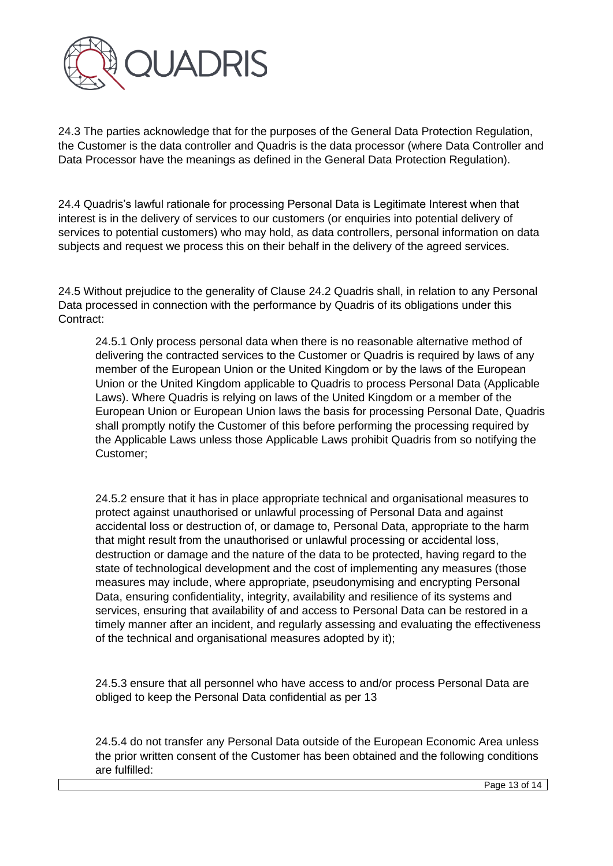

24.3 The parties acknowledge that for the purposes of the General Data Protection Regulation, the Customer is the data controller and Quadris is the data processor (where Data Controller and Data Processor have the meanings as defined in the General Data Protection Regulation).

24.4 Quadris's lawful rationale for processing Personal Data is Legitimate Interest when that interest is in the delivery of services to our customers (or enquiries into potential delivery of services to potential customers) who may hold, as data controllers, personal information on data subjects and request we process this on their behalf in the delivery of the agreed services.

24.5 Without prejudice to the generality of Clause 24.2 Quadris shall, in relation to any Personal Data processed in connection with the performance by Quadris of its obligations under this Contract:

24.5.1 Only process personal data when there is no reasonable alternative method of delivering the contracted services to the Customer or Quadris is required by laws of any member of the European Union or the United Kingdom or by the laws of the European Union or the United Kingdom applicable to Quadris to process Personal Data (Applicable Laws). Where Quadris is relying on laws of the United Kingdom or a member of the European Union or European Union laws the basis for processing Personal Date, Quadris shall promptly notify the Customer of this before performing the processing required by the Applicable Laws unless those Applicable Laws prohibit Quadris from so notifying the Customer;

24.5.2 ensure that it has in place appropriate technical and organisational measures to protect against unauthorised or unlawful processing of Personal Data and against accidental loss or destruction of, or damage to, Personal Data, appropriate to the harm that might result from the unauthorised or unlawful processing or accidental loss, destruction or damage and the nature of the data to be protected, having regard to the state of technological development and the cost of implementing any measures (those measures may include, where appropriate, pseudonymising and encrypting Personal Data, ensuring confidentiality, integrity, availability and resilience of its systems and services, ensuring that availability of and access to Personal Data can be restored in a timely manner after an incident, and regularly assessing and evaluating the effectiveness of the technical and organisational measures adopted by it);

24.5.3 ensure that all personnel who have access to and/or process Personal Data are obliged to keep the Personal Data confidential as per 13

24.5.4 do not transfer any Personal Data outside of the European Economic Area unless the prior written consent of the Customer has been obtained and the following conditions are fulfilled: